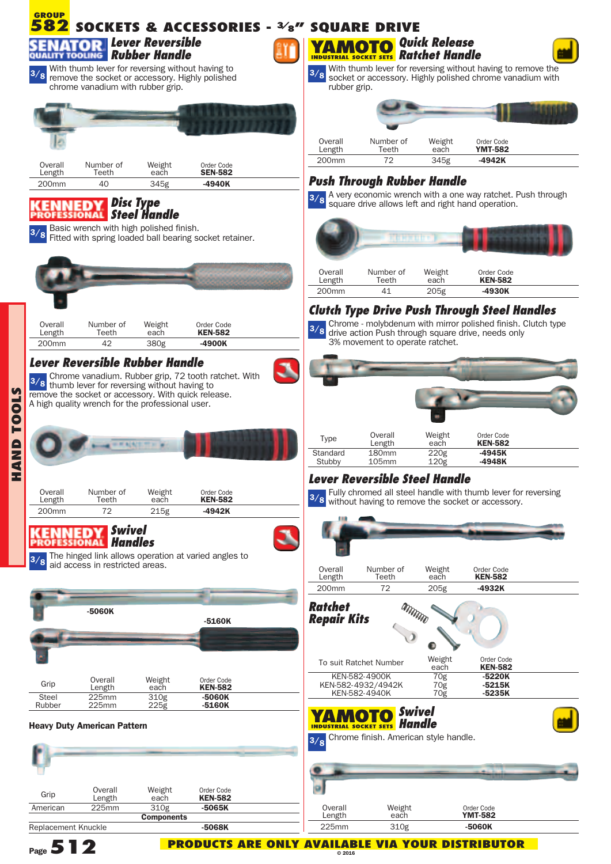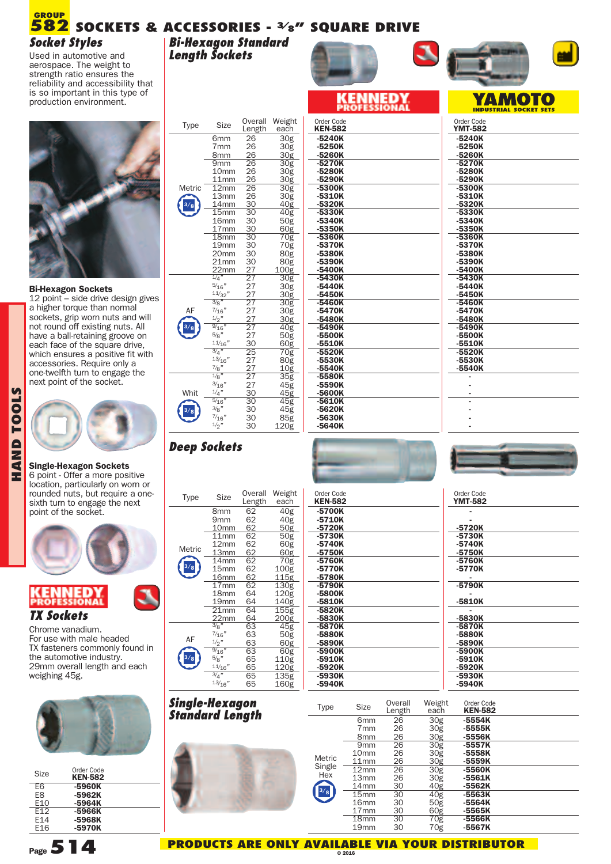## **SOCKETS & ACCESSORIES - 3/8" SQUARE DRIVE 582 GROUP** *Socket Styles*

Used in automotive and aerospace. The weight to strength ratio ensures the reliability and accessibility that is so important in this type of production environment.



#### **Bi-Hexagon Sockets**

12 point – side drive design gives a higher torque than normal sockets, grip worn nuts and will not round off existing nuts. All have a ball-retaining groove on each face of the square drive, which ensures a positive fit with accessories. Require only a one-twelfth turn to engage the next point of the socket.



**HA**

#### **Single-Hexagon Sockets** 6 point - Offer a more positive

location, particularly on worn or rounded nuts, but require a one-<br>sixth turn to engage the next point of the socket.



## *TX Sockets*

Chrome vanadium. For use with male headed TX fasteners commonly found in the automotive industry. 29mm overall length and each weighing 45g.



| <b>Size</b>     | Order Code<br><b>KEN-582</b> |
|-----------------|------------------------------|
| F6              | -5960K                       |
| F8              | -5962K                       |
| E10             | -5964K                       |
| E <sub>12</sub> | -5966K                       |
| E14             | -5968K                       |
| F16             | -5970K                       |
|                 |                              |

| Type   | Size                               | <b>Overall</b><br>Length | Weight<br>each           |
|--------|------------------------------------|--------------------------|--------------------------|
|        | 6mm                                | 26                       | $\overline{3}$ Og        |
|        | 7mm                                | 26                       | 30g                      |
|        | 8mm                                | 26                       | 30g                      |
|        | 9mm                                | $\overline{26}$          | $\overline{30}$ g        |
|        | 10mm                               | 26                       | 30g                      |
|        | 11mm                               | 26                       | 30g                      |
| Metric | $\overline{1}$ 2mm                 | $\overline{26}$          | $\overline{30}$ g        |
|        | 13mm                               | 26                       | 30g                      |
|        | 1 <u>4mm</u><br>$\overline{15}$ mm | 30<br>30                 | 40g                      |
|        | 16mm                               | 30                       | $\overline{40}$ g<br>50g |
|        | 17 <sub>mm</sub>                   | 30                       | 60g                      |
|        | $\overline{1}$ 8mm                 | 30                       | $\overline{70}$ g        |
|        | 19mm                               | 30                       | 70g                      |
|        | 20 <sub>mm</sub>                   | 30                       | 80g                      |
|        | 21 <sub>mm</sub>                   |                          | 80g                      |
|        | 22 <sub>mm</sub>                   |                          | 100g                     |
|        | $\frac{1}{4}$ "                    | 302277777722222222       | $\overline{30}$ g        |
|        | $\frac{5}{16}$                     |                          | 30g                      |
|        | $\frac{11/32}{2}$                  |                          | 30g                      |
|        | $\overline{\frac{3}{8}}$ "         |                          | $\overline{30}$ g        |
|        | $\frac{7}{16}$                     |                          | 30g                      |
|        | $\frac{1}{2}$                      |                          | 30g                      |
|        | $\frac{9}{16}$                     |                          | $\overline{40}$ g        |
|        | $\frac{5}{8}$ "                    | -.<br>30                 | 50g                      |
|        | 11/16<br>$\frac{3}{4}$ "           | $\frac{1}{25}$           | 60g<br>$\overline{70}$ g |
|        | 13/16"                             | .<br>27                  | 80g                      |
|        | $\frac{7}{8}$ "                    |                          | 10g                      |
|        | $\frac{1}{8}$                      | $\frac{27}{27}$          | $\overline{35}$ g        |
|        | $\frac{3}{16}$                     | 27                       | 45g                      |
| Whit   | $\frac{1}{4}$                      | 30                       | 45g                      |
|        | $\frac{5}{16}$                     | $\overline{30}$          | $\overline{45g}$         |
|        | $\frac{3}{8}$ "                    | 30                       | 45g                      |
|        | $\frac{7}{16}$                     | 30                       | 85g                      |
|        | 1/2                                | 3U                       | 1200                     |

*Bi-Hexagon Standard*

*Length Sockets*

| Size                                  | Overall                                    | Weight                                     | Order Code                     |
|---------------------------------------|--------------------------------------------|--------------------------------------------|--------------------------------|
|                                       | Length                                     | each                                       | <b>KEN-582</b>                 |
| mm                                    | 26                                         | .<br>30g                                   | $-5240K$                       |
| mm                                    | 26                                         | 30g                                        | $-5250K$                       |
| mm                                    | 26                                         | 30g                                        | -5260K                         |
| mm                                    | $\overline{26}$                            | $\overline{30}$ g                          | $-5270K$                       |
| .0mm                                  | 26                                         | 30g                                        | -5280K                         |
| 1mm                                   | 26                                         | 30g                                        | -5290K                         |
| 2mm                                   | $26\overline{6}$                           | $\overline{30}$ g                          | $-5300K$                       |
| 3 <sub>mm</sub>                       | 26                                         | 30g                                        | -5310K                         |
| 4 <sub>mm</sub>                       | 30                                         | 40g                                        | -5320K                         |
| 5mm                                   | 30                                         | 40g                                        | $-5330K$                       |
| 6 <sub>mm</sub>                       | 30                                         | 50g                                        | -5340K                         |
| 7 <sub>mm</sub>                       | 30                                         | 60g                                        | $-5350K$                       |
| 8 <sub>mm</sub>                       | $\overline{30}$                            | $\overline{70}$ g                          | -5360K                         |
| 9 <sub>mm</sub>                       | 30                                         | 70g                                        | -5370K                         |
| Omm                                   | 30                                         | 80g                                        | -5380K                         |
| 1mm                                   | 30                                         | 80g                                        | -5390K                         |
| 2mm                                   | 27                                         | 100g                                       | -5400K                         |
| $\overline{4''}$                      | $\overline{27}$                            | $\overline{30}$ g                          | $-5430K$                       |
| 16"<br>$\frac{1}{32}$ "               | $\frac{27}{27}$<br>$\frac{27}{27}$<br>$27$ | 30g<br>30 <sub>g</sub><br>$\overline{30g}$ | $-5440K$<br>-5450K<br>$-5460K$ |
| $\frac{16}{16}$ "<br>$\frac{2}{16}$ " | $\frac{1}{27}$                             | 30g<br><u>30g</u>                          | $-5470K$<br>-5480K             |
| 8"<br>$\frac{1}{16}$                  | $\frac{1}{27}$<br>30                       | $\overline{40}$ g<br>50g<br>60g            | $-5490K$<br>-5500K<br>-5510K   |
| $\sqrt{4}$                            | $\overline{25}$                            | 70g                                        | $-5520K$                       |
| $\frac{3}{16}$                        | 27                                         | 80g                                        | -5530K                         |
| 's"                                   | 27                                         | 10 <sub>g</sub>                            | $-5540K$                       |
| $\overline{s}$ "                      | $\overline{27}$                            | $\overline{35}$ g                          | -5580K                         |
| 16"                                   | 27                                         | 45g                                        | -5590K                         |
| 4"                                    | 30                                         | 45g                                        | -5600K                         |
| 16''                                  | $\overline{30}$                            | $\overline{45}$ g                          | $-5610K$                       |
| ່8"                                   | 30                                         | 45g                                        | -5620K                         |
| 16"                                   | 30                                         | 85g                                        | -5630K                         |
| 2"                                    | 30                                         | 120g                                       | $-5640K$                       |





# *Deep Sockets*

|        |                  | Overall | Weight |
|--------|------------------|---------|--------|
| Type   | <b>Size</b>      | Length  | each   |
|        | 8mm              | 62      | 40g    |
|        | 9mm              | 62      | 40g    |
|        | 10mm             | 62      | 50g    |
|        | 11mm             | 62      | 50g    |
|        | 12mm             | 62      | 60g    |
| Metric | 13mm             | 62      | 60g    |
|        | 14 <sub>mm</sub> | 62      | 70g    |
|        | 15 <sub>mm</sub> | 62      | 100g   |
|        | 16mm             | 62      | 115g   |
|        | 17 <sub>mm</sub> | 62      | 130g   |
|        | 1.8mm            | 64      | 120g   |
|        | 19mm             | 64      | 140g   |
|        | 21 <sub>mm</sub> | 64      | 155g   |
|        | 22 <sub>mm</sub> | 64      | 200g   |
|        | 3/8"             | 63      | 45g    |
| AF     | $\frac{7}{16}$ " | 63      | 50g    |
|        | $\frac{1}{2}$ "  | 63      | 60g    |
|        | $\frac{9}{16}$ " | 63      | 60g    |
|        | 5/8"             | 65      | 110g   |
|        | 11/16"           | 65      | 120g   |
|        | 3/4"             | 65      | 135g   |
|        | 13/16"           | 65      | 160g   |





**-**

| Type   | Size             |                 | weignt           |
|--------|------------------|-----------------|------------------|
|        |                  | Length          | each             |
|        | 8mm              | 62              | 40g              |
|        | 9mm              | 62              | 40g              |
|        | 10mm             | 62              | 50g              |
|        | $11$ mm          | 62              | $\overline{50g}$ |
|        | 12mm             | 62              | 60g              |
| Metric | 13mm             | 62              | 60g              |
|        | 14 <sub>mm</sub> | 62              | 70g              |
|        | 15mm             | 62              | 100g             |
|        | 16mm             | 62              | 115g             |
|        | 17 <sub>mm</sub> | 62              | 130g             |
|        | 1.8mm            | 64              | 120g             |
|        | 19mm             | 64              | 140g             |
|        | 21mm             | $6\overline{4}$ | 155g             |
|        | 22 <sub>mm</sub> | 64              | 200g             |
|        | 3/8"             | 63              | $\overline{45g}$ |
|        | $\frac{7}{16}$ " | 63              | 50 <sub>g</sub>  |
| AF     | $\frac{1}{2}$ "  | 63              | 60g              |
|        | $\frac{9}{16}$ " | 63              | 60g              |
|        | 5/8"             | 65              | 110g             |
|        | 11/16"           | 65              | 120g             |
|        | 3/4"             | 65              | 135g             |
|        | 13/16"           | 65              | 160g             |

| Order Code<br><b>KEN-582</b> | Order Code<br><b>YMT-582</b> |
|------------------------------|------------------------------|
| -5700K<br>-5710K             |                              |
| -5720K                       | -5720K                       |
| -5730K                       | -5730K                       |
| -5740K                       | -5740K                       |
| -5750K                       | -5750K                       |
| -5760K                       | -5760K                       |
| -5770K                       | -5770K                       |
| -5780K                       |                              |
| -5790K                       | -5790K                       |
| -5800K                       |                              |
| -5810K                       | -5810K                       |
| -5820K                       |                              |
| -5830K                       | -5830K                       |
| -5870K                       | -5870K                       |
| -5880K                       | -5880K                       |
| -5890K                       | -5890K                       |
| -5900K                       | -5900K                       |
| -5910K                       | -5910K                       |
| -5920K                       | -5920K                       |
| -5930K                       | -5930K                       |
| -5940K                       | -5940K                       |

| -5720K |  |
|--------|--|
| -5730K |  |
| -5740K |  |
| -5750K |  |
| -5760K |  |
| -5770K |  |
|        |  |
| -5790K |  |
|        |  |
| -5810K |  |
|        |  |
| -5830K |  |
| -5870K |  |
| -5880K |  |
| -5890K |  |
| -5900K |  |
| -5910K |  |
| -5920K |  |
| -5930K |  |
| -5940K |  |
|        |  |

### *Single-Hexagon Standard Length*



| <b>Type</b> | <b>Size</b>      | Overall<br>Length | Weight<br>each  | Order Code<br><b>KEN-582</b> |  |
|-------------|------------------|-------------------|-----------------|------------------------------|--|
|             | 6 <sub>mm</sub>  | 26                | 30g             | $-5554K$                     |  |
|             | 7 <sub>mm</sub>  | 26                | 30g             | $-5555K$                     |  |
|             | 8 <sub>mm</sub>  | 26                | 30 <sub>g</sub> | -5556K                       |  |
|             | 9 <sub>mm</sub>  | 26                | 30 <sub>g</sub> | $-5557K$                     |  |
|             | 10 <sub>mm</sub> | 26                | 30g             | -5558K                       |  |
| Metric      | 11mm             | 26                | 30 <sub>g</sub> | $-5559K$                     |  |
| Single      | 12mm             | 26                | 30g             | -5560K                       |  |
| Hex         | 13mm             | 26                | 30g             | $-5561K$                     |  |
|             | 14 <sub>mm</sub> | 30                | 40 <sub>g</sub> | -5562K                       |  |
| 3/8         | 15mm             | 30                | 40 <sub>g</sub> | -5563K                       |  |
|             | 16 <sub>mm</sub> | 30                | 50g             | $-5564K$                     |  |
|             | 17 <sub>mm</sub> | 30                | 60g             | -5565K                       |  |
|             | 18 <sub>mm</sub> | 30                | 70g             | -5566K                       |  |
|             | 19 <sub>mm</sub> | 30                | 70g             | $-5567K$                     |  |